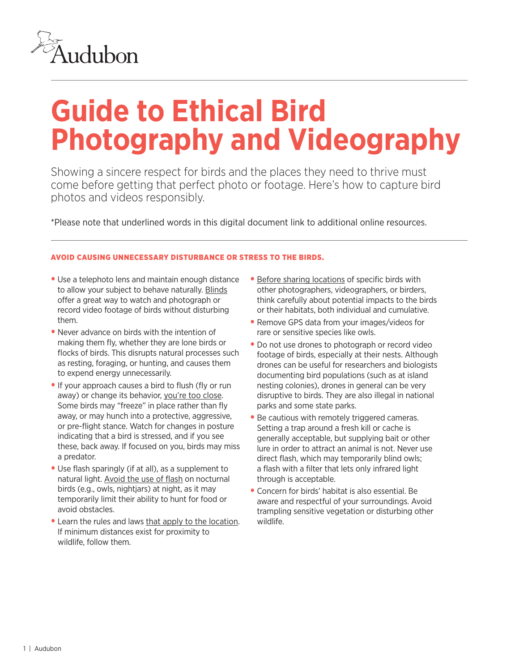

# **Guide to Ethical Bird Photography and Videography**

Showing a sincere respect for birds and the places they need to thrive must come before getting that perfect photo or footage. Here's how to capture bird photos and videos responsibly.

\*Please note that underlined words in this digital document link to additional online resources.

# AVOID CAUSING UNNECESSARY DISTURBANCE OR STRESS TO THE BIRDS.

- Use a telephoto lens and maintain enough distance to allow your subject to behave naturally. [Blinds](https://www.audubon.org/news/want-shoot-intimate-bird-portraits-try-portable-blind) offer a great way to watch and photograph or record video footage of birds without disturbing them.
- Never advance on birds with the intention of making them fly, whether they are lone birds or flocks of birds. This disrupts natural processes such as resting, foraging, or hunting, and causes them to expend energy unnecessarily.
- If your approach causes a bird to flush (fly or run away) or change its behavior, [you're too close](https://www.audubon.org/magazine/may-june-2015/too-close-comfort). Some birds may "freeze" in place rather than fly away, or may hunch into a protective, aggressive, or pre-flight stance. Watch for changes in posture indicating that a bird is stressed, and if you see these, back away. If focused on you, birds may miss a predator.
- Use flash sparingly (if at all), as a supplement to natural light. [Avoid the use of flash](https://www.audubon.org/news/is-flash-photography-safe-owls) on nocturnal birds (e.g., owls, nightjars) at night, as it may temporarily limit their ability to hunt for food or avoid obstacles.
- Learn the rules and laws [that apply to the location.](https://www.audubon.org/magazine/winter-2017/five-rules-photographing-bald-eagle-nests) If minimum distances exist for proximity to wildlife, follow them.
- [Before sharing locations](https://www.audubon.org/news/rare-bird-sightings-share-or-shut) of specific birds with other photographers, videographers, or birders, think carefully about potential impacts to the birds or their habitats, both individual and cumulative.
- Remove GPS data from your images/videos for rare or sensitive species like owls.
- Do not use drones to photograph or record video footage of birds, especially at their nests. Although drones can be useful for researchers and biologists documenting bird populations (such as at island nesting colonies), drones in general can be very disruptive to birds. They are also illegal in national parks and some state parks.
- Be cautious with remotely triggered cameras. Setting a trap around a fresh kill or cache is generally acceptable, but supplying bait or other lure in order to attract an animal is not. Never use direct flash, which may temporarily blind owls; a flash with a filter that lets only infrared light through is acceptable.
- Concern for birds' habitat is also essential. Be aware and respectful of your surroundings. Avoid trampling sensitive vegetation or disturbing other wildlife.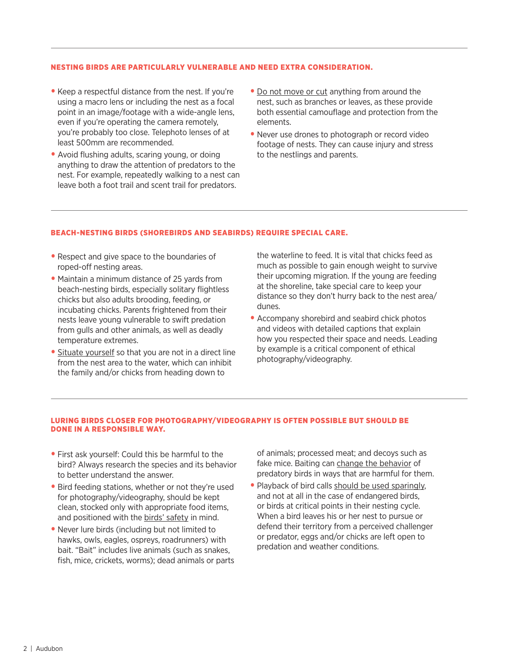# NESTING BIRDS ARE PARTICULARLY VULNERABLE AND NEED EXTRA CONSIDERATION.

- Keep a respectful distance from the nest. If you're using a macro lens or including the nest as a focal point in an image/footage with a wide-angle lens, even if you're operating the camera remotely, you're probably too close. Telephoto lenses of at least 500mm are recommended.
- Avoid flushing adults, scaring young, or doing anything to draw the attention of predators to the nest. For example, repeatedly walking to a nest can leave both a foot trail and scent trail for predators.
- [Do not move or cut](https://www.audubon.org/news/dos-and-donts-nest-photography) anything from around the nest, such as branches or leaves, as these provide both essential camouflage and protection from the elements.
- Never use drones to photograph or record video footage of nests. They can cause injury and stress to the nestlings and parents.

## BEACH-NESTING BIRDS (SHOREBIRDS AND SEABIRDS) REQUIRE SPECIAL CARE.

- Respect and give space to the boundaries of roped-off nesting areas.
- Maintain a minimum distance of 25 yards from beach-nesting birds, especially solitary flightless chicks but also adults brooding, feeding, or incubating chicks. Parents frightened from their nests leave young vulnerable to swift predation from gulls and other animals, as well as deadly temperature extremes.
- [Situate yourself](https://www.audubon.org/news/how-i-learned-safely-photograph-beach-nesting-birds) so that you are not in a direct line from the nest area to the water, which can inhibit the family and/or chicks from heading down to

the waterline to feed. It is vital that chicks feed as much as possible to gain enough weight to survive their upcoming migration. If the young are feeding at the shoreline, take special care to keep your distance so they don't hurry back to the nest area/ dunes.

• Accompany shorebird and seabird chick photos and videos with detailed captions that explain how you respected their space and needs. Leading by example is a critical component of ethical photography/videography.

# LURING BIRDS CLOSER FOR PHOTOGRAPHY/VIDEOGRAPHY IS OFTEN POSSIBLE BUT SHOULD BE DONE IN A RESPONSIBLE WAY.

- First ask yourself: Could this be harmful to the bird? Always research the species and its behavior to better understand the answer.
- Bird feeding stations, whether or not they're used for photography/videography, should be kept clean, stocked only with appropriate food items, and positioned with the [birds' safety](https://www.audubon.org/news/when-its-okay-or-not-feed-birds) in mind.
- Never lure birds (including but not limited to hawks, owls, eagles, ospreys, roadrunners) with bait. "Bait" includes live animals (such as snakes, fish, mice, crickets, worms); dead animals or parts

of animals; processed meat; and decoys such as fake mice. Baiting can [change the behavior](https://www.audubon.org/news/why-you-shouldnt-feed-or-bait-owls) of predatory birds in ways that are harmful for them.

• Playback of bird calls [should be used sparingly,](https://www.audubon.org/news/how-use-birdcall-apps) and not at all in the case of endangered birds, or birds at critical points in their nesting cycle. When a bird leaves his or her nest to pursue or defend their territory from a perceived challenger or predator, eggs and/or chicks are left open to predation and weather conditions.